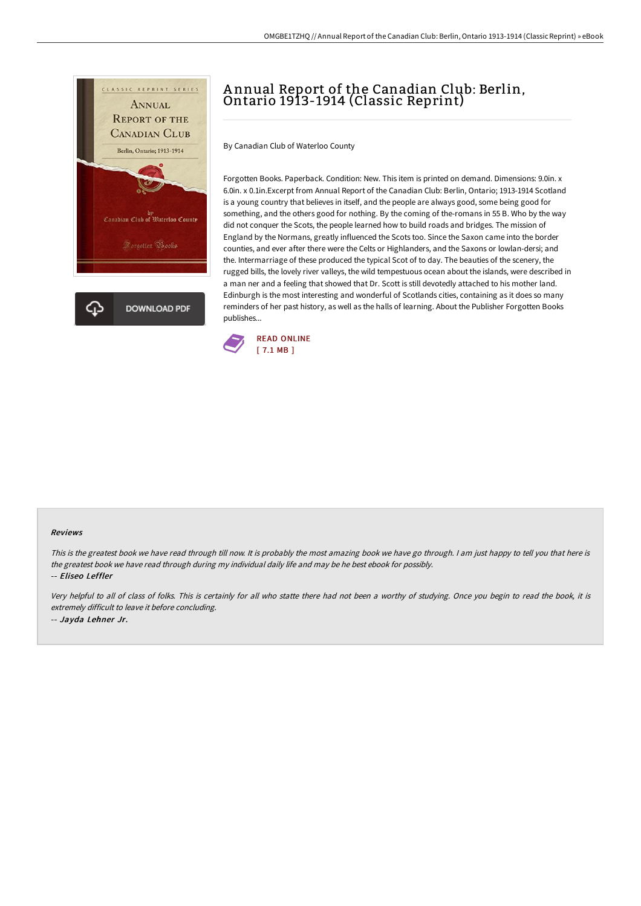

## <sup>A</sup> nnual Report of the Canadian Club: Berlin, Ontario 1913-1914 (Classic Reprint)

By Canadian Club of Waterloo County

Forgotten Books. Paperback. Condition: New. This item is printed on demand. Dimensions: 9.0in. x 6.0in. x 0.1in.Excerpt from Annual Report of the Canadian Club: Berlin, Ontario; 1913-1914 Scotland is a young country that believes in itself, and the people are always good, some being good for something, and the others good for nothing. By the coming of the-romans in 55 B. Who by the way did not conquer the Scots, the people learned how to build roads and bridges. The mission of England by the Normans, greatly influenced the Scots too. Since the Saxon came into the border counties, and ever after there were the Celts or Highlanders, and the Saxons or lowlan-dersi; and the. Intermarriage of these produced the typical Scot of to day. The beauties of the scenery, the rugged bills, the lovely river valleys, the wild tempestuous ocean about the islands, were described in a man ner and a feeling that showed that Dr. Scott is still devotedly attached to his mother land. Edinburgh is the most interesting and wonderful of Scotlands cities, containing as it does so many reminders of her past history, as well as the halls of learning. About the Publisher Forgotten Books publishes...



## Reviews

This is the greatest book we have read through till now. It is probably the most amazing book we have go through. I am just happy to tell you that here is the greatest book we have read through during my individual daily life and may be he best ebook for possibly.

-- Eliseo Leffler

Very helpful to all of class of folks. This is certainly for all who statte there had not been <sup>a</sup> worthy of studying. Once you begin to read the book, it is extremely difficult to leave it before concluding. -- Jayda Lehner Jr.